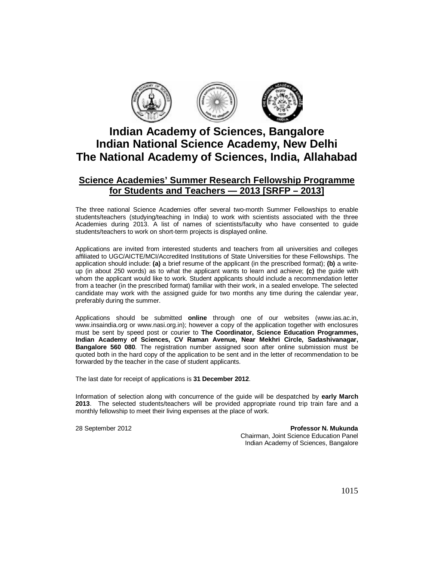

# **Indian Academy of Sciences, Bangalore Indian National Science Academy, New Delhi The National Academy of Sciences, India, Allahabad**

## **Science Academies' Summer Research Fellowship Programme for Students and Teachers — 2013 [SRFP – 2013]**

The three national Science Academies offer several two-month Summer Fellowships to enable students/teachers (studying/teaching in India) to work with scientists associated with the three Academies during 2013. A list of names of scientists/faculty who have consented to guide students/teachers to work on short-term projects is displayed online.

Applications are invited from interested students and teachers from all universities and colleges affiliated to UGC/AICTE/MCI/Accredited Institutions of State Universities for these Fellowships. The application should include: **(a)** a brief resume of the applicant (in the prescribed format); **(b)** a writeup (in about 250 words) as to what the applicant wants to learn and achieve; **(c)** the guide with whom the applicant would like to work. Student applicants should include a recommendation letter from a teacher (in the prescribed format) familiar with their work, in a sealed envelope. The selected candidate may work with the assigned guide for two months any time during the calendar year, preferably during the summer.

Applications should be submitted **online** through one of our websites (www.ias.ac.in, www.insaindia.org or www.nasi.org.in); however a copy of the application together with enclosures must be sent by speed post or courier to **The Coordinator, Science Education Programmes, Indian Academy of Sciences, CV Raman Avenue, Near Mekhri Circle, Sadashivanagar, Bangalore 560 080**. The registration number assigned soon after online submission must be quoted both in the hard copy of the application to be sent and in the letter of recommendation to be forwarded by the teacher in the case of student applicants.

The last date for receipt of applications is **31 December 2012**.

Information of selection along with concurrence of the guide will be despatched by **early March 2013**. The selected students/teachers will be provided appropriate round trip train fare and a monthly fellowship to meet their living expenses at the place of work.

28 September 2012 **Professor N. Mukunda**  Chairman, Joint Science Education Panel Indian Academy of Sciences, Bangalore

1015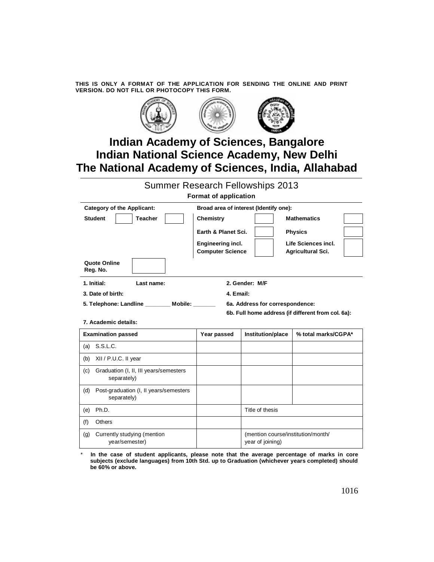**THIS IS ONLY A FORMAT OF THE APPLICATION FOR SENDING THE ONLINE AND PRINT VERSION. DO NOT FILL OR PHOTOCOPY THIS FORM.** 



# **Indian Academy of Sciences, Bangalore Indian National Science Academy, New Delhi The National Academy of Sciences, India, Allahabad**

Summer Research Fellowships 2013

**Format of application** 

| <b>Category of the Applicant:</b>                                                    | Broad area of interest (Identify one):       |                                                        |                                          |  |
|--------------------------------------------------------------------------------------|----------------------------------------------|--------------------------------------------------------|------------------------------------------|--|
| <b>Student</b><br><b>Teacher</b>                                                     | <b>Chemistry</b>                             |                                                        | <b>Mathematics</b>                       |  |
|                                                                                      | Earth & Planet Sci.                          |                                                        | <b>Physics</b>                           |  |
|                                                                                      | Engineering incl.<br><b>Computer Science</b> |                                                        | Life Sciences incl.<br>Agricultural Sci. |  |
| Quote Online<br>Reg. No.                                                             |                                              |                                                        |                                          |  |
| 1. Initial:<br>2. Gender: M/F<br>Last name:                                          |                                              |                                                        |                                          |  |
| 3. Date of birth:<br>4. Email:                                                       |                                              |                                                        |                                          |  |
| 5. Telephone: Landline __________ Mobile: _______<br>6a. Address for correspondence: |                                              |                                                        |                                          |  |
| 6b. Full home address (if different from col. 6a):                                   |                                              |                                                        |                                          |  |
| 7. Academic details:                                                                 |                                              |                                                        |                                          |  |
| <b>Examination passed</b>                                                            | Year passed                                  | Institution/place                                      | % total marks/CGPA*                      |  |
| S.S.L.C.<br>(a)                                                                      |                                              |                                                        |                                          |  |
| XII / P.U.C. II year<br>(b)                                                          |                                              |                                                        |                                          |  |
| Graduation (I, II, III years/semesters<br>(c)<br>separately)                         |                                              |                                                        |                                          |  |
| Post-graduation (I, II years/semesters<br>(d)<br>separately)                         |                                              |                                                        |                                          |  |
| Ph.D.<br>(e)                                                                         |                                              | Title of thesis                                        |                                          |  |
| (f)<br><b>Others</b>                                                                 |                                              |                                                        |                                          |  |
| Currently studying (mention<br>(g)<br>year/semester)                                 |                                              | (mention course/institution/month/<br>year of joining) |                                          |  |

In the case of student applicants, please note that the average percentage of marks in core **subjects (exclude languages) from 10th Std. up to Graduation (whichever years completed) should be 60% or above.**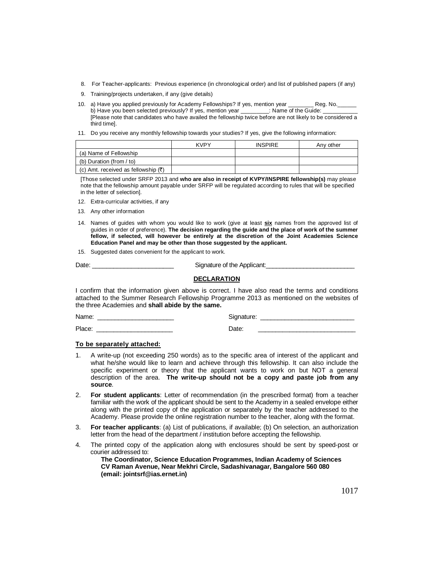- 8. For Teacher-applicants: Previous experience (in chronological order) and list of published papers (if any)
- 9. Training/projects undertaken, if any (give details)
- 10. a) Have you applied previously for Academy Fellowships? If yes, mention year \_\_\_\_\_\_\_\_ Reg. No. b) Have you been selected previously? If yes, mention year \_\_\_\_\_\_\_\_\_: Name of the Guide: [Please note that candidates who have availed the fellowship twice before are not likely to be considered a third time].
- 11. Do you receive any monthly fellowship towards your studies? If yes, give the following information:

|                                                | <b>KVPY</b> | <b>INSPIRE</b> | Anv other |
|------------------------------------------------|-------------|----------------|-----------|
| (a) Name of Fellowship                         |             |                |           |
| (b) Duration (from / to)                       |             |                |           |
| (c) Amt. received as fellowship $(\bar{\tau})$ |             |                |           |

[Those selected under SRFP 2013 and **who are also in receipt of KVPY/INSPIRE fellowship(s)** may please note that the fellowship amount payable under SRFP will be regulated according to rules that will be specified in the letter of selection].

- 12. Extra-curricular activities, if any
- 13. Any other information
- 14. Names of guides with whom you would like to work (give at least **six** names from the approved list of guides in order of preference). **The decision regarding the guide and the place of work of the summer fellow, if selected, will however be entirely at the discretion of the Joint Academies Science Education Panel and may be other than those suggested by the applicant.**
- 15. Suggested dates convenient for the applicant to work.

| Date: | Signature of the Applicant: |
|-------|-----------------------------|
|       |                             |

### **DECLARATION**

I confirm that the information given above is correct. I have also read the terms and conditions attached to the Summer Research Fellowship Programme 2013 as mentioned on the websites of the three Academies and **shall abide by the same.**

| Name<br>$ -$<br>ыc<br>. |  |
|-------------------------|--|
|-------------------------|--|

Place: \_\_\_\_\_\_\_\_\_\_\_\_\_\_\_\_\_\_\_\_\_\_ Date: \_\_\_\_\_\_\_\_\_\_\_\_\_\_\_\_\_\_\_\_\_\_\_\_\_\_\_\_

#### **To be separately attached:**

- 1. A write-up (not exceeding 250 words) as to the specific area of interest of the applicant and what he/she would like to learn and achieve through this fellowship. It can also include the specific experiment or theory that the applicant wants to work on but NOT a general description of the area. **The write-up should not be a copy and paste job from any source**.
- 2. **For student applicants**: Letter of recommendation (in the prescribed format) from a teacher familiar with the work of the applicant should be sent to the Academy in a sealed envelope either along with the printed copy of the application or separately by the teacher addressed to the Academy. Please provide the online registration number to the teacher, along with the format.
- 3. **For teacher applicants**: (a) List of publications, if available; (b) On selection, an authorization letter from the head of the department / institution before accepting the fellowship.
- 4. The printed copy of the application along with enclosures should be sent by speed-post or courier addressed to:

**The Coordinator, Science Education Programmes, Indian Academy of Sciences CV Raman Avenue, Near Mekhri Circle, Sadashivanagar, Bangalore 560 080 (email: jointsrf@ias.ernet.in)**